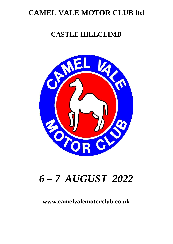# **CAMEL VALE MOTOR CLUB ltd**

# **CASTLE HILLCLIMB**



# *6 – 7 AUGUST 2022*

## **www.camelvalemotorclub.co.uk**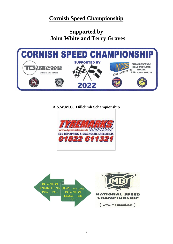## **Cornish Speed Championship**

**Supported by John White and Terry Graves**



## **A.S.W.M.C. Hillclimb Schampionship**



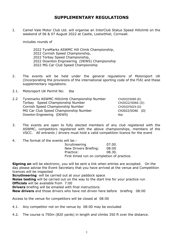### **SUPPLEMENTARY REGULATIONS**

1. Camel Vale Motor Club Ltd. will organise an InterClub Status Speed Hillclimb on the weekend of 06 & 07 August 2022 at Castle, Lostwithiel, Cornwall.

includes rounds of

 TyreMarks ASWMC Hill Climb Championship, Cornish Speed Championship, Torbay Speed Championship, Downton Engineering (DEWS) Championship MG Car Club Speed Championship

- 2. The events will be held under the general regulations of Motorsport UK (Incorporating the provisions of the international sporting code of the FIA) and these supplementary regulations.
- 2.1. Motorsport UK Permit No: tba
- 2.2 Tyremarks ASWMC Hillclimb Championship Number CH2022/S085 (E) Torbay Speed Championship Number CH2022/S066 (D) Cornish Speed Championship Number CH2022/S024 (D) MG Car Club Speed Championship Number CH2022/SO46 (D) Downton Engineering (DEWS) that the state of the state of the state of the state of the state of the state of the state of the state of the state of the state of the state of the state of the state of the state of the stat

- 3. The events are open to fully elected members of any club registered with the ASWMC, competitors registered with the above championships, members of the VSCC. All entrants / drivers must hold a valid competition licence for the event
- 4. The format of the events will be:-

| Scrutineering                              | 07.00. |
|--------------------------------------------|--------|
| New Drivers Briefing:                      | 08:00  |
| Practice:                                  | 08.30. |
| First timed run on completion of practice. |        |

**Signing on** will be electronic, you will be sent a link when entries are accepted. On the day please advise the Event Secretary that you have arrived at the venue and Competition licences will be inspected

**Scrutineering** will be carried out at your paddock space

**Noise testing** will be carried out on the way to the start line for your practice run **Officials** will be available from 7:00

**Drivers** briefing will be emailed with final instructions.

**New drivers** and those drivers who have not driven here before briefing 08:00

Access to the venue for competitors will be closed at 08:00

4.1. Any competitor not on the venue by 08:00 may be excluded

4.2. The course is 750m (820 yards) in length and climbs 350 ft over the distance.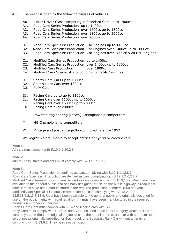- 4.3. The event is open to the following classes of vehicles
	- A0 Junior Driver Class competing in Standard Cars up to 1400cc
	- A1. Road Cars Series Production up to 1400cc
	- A2. Road Cars Series Production over 1400cc up to 1800cc
	- A3. Road Cars Series Production over 1800cc up to 2600cc
	- A4. Road Cars Series Production over 2600cc
	- B1. Road Cars Specialist Production -Car Engines up to 1400cc
	- B2. Road Cars Specialist Production -Car Engines over 1400cc up to 1800cc
	- B3. Road Cars Specialist Production -Car Engines over 1800cc & all M/C Engines
	- C1. Modified Cars Series Production up to 1400cc
	- C2. Modified Cars Series Production over 1400cc up to 1800cc
	- C3. Modified Cars Production over 1800cc
	- C4 Modified Cars Specialist Production car & M/C engines
	- D1. Sports Libre Cars up to 1800cc
	- D2. Sports Libre Cars over 1800cc
	- D3. Rally Cars
	- E1. Racing Cars up to up to 1100cc
	- E2. Racing Cars over 1100cc up to 1600cc
	- E3 Racing Cars over 1600cc up to 2000cc
	- E4 Racing Cars over 2000cc
	- L Downton Engineering (DEWS) Championship competitors
	- M MG Championship competitors
	- V1 Vintage and post vintage thoroughbred cars pre 1952

#### We regret we are unable to accept entries of hybrid or electric cars

#### **Note 1:**

All cars must comply with S.10.2.1-10.2.8.

#### **Note 2:**

Junior Class Drivers and cars must comply with S7.1.9- 7.1.9.2

#### **Note 3:**

Road Cars Series Production are defined as cars complying with S.12.1.1-12.8.1. Road Cars Specialist Production are defined as cars complying with S.12.1.2 -12.7.7. Modified Cars Series Production are defined as cars complying with S.13.3,13.9. Must have been available to the general public and originally designed for use on the public highway in road legal form. It must have been manufactured in the required production numbers 1000 per year. Modified Cars Specialist Production are defined as cars complying with S.13.2,13.3-

13.5,13.6.2,13.3-13.9. Must have been available to the general public and originally designed for use on the public highway in road legal form. It must have been manufactured in the required production numbers 20 per year.

Sports Libre Cars must comply with S.14 and Racing cars with S.15.

Rally Cars must comply with R.46-49 and S.14. Included in the latter Category would be Group B cars, any cars without the original engine block of the model entered, and car with a transmission layout not as originally specified for that model, or a Specialist Rally Car without an engine complying with S.13.6.2. They need not be taxed.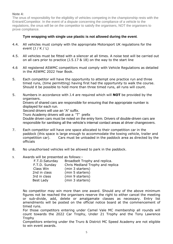#### **Note 4:**

The onus of responsibility for the eligibility of vehicles competing in the championship rests with the Entrant/Competitor. In the event of a dispute concerning the compliance of a vehicle to the regulations, the onus will be on the competitor to satisfy the organisers, NOT the organisers to prove compliance.

#### **Tyre wrapping with single use plastic is not allowed during the event**.

- 4.4. All vehicles must comply with the appropriate Motorsport UK regulations for the event (J / K / L)
- 4.5. All vehicles must be fitted with a silencer at all times. A noise test will be carried out on all cars prior to practice (J.5.17 & 18) on the way to the start line
- 4.6 All registered ASWMC competitors must comply with Vehicle Regulations as detailed in the ASWMC 2022 Year Book.
- 5. Each competitor will have the opportunity to attempt one practice run and three timed runs, (time permitting) having first had the opportunity to walk the course. Should it be possible to hold more than three timed runs, all runs will count.
- 5. Numbers in accordance with J.4 are required which will **NOT** be provided by the organisers. Drivers of shared cars are responsible for ensuring that the appropriate number is displayed for each run. Second drivers will use an "A" suffix. Truro Academy drivers will use a "T" prefix

Double driven cars must be noted on the entry form. Drivers of double-driven cars are responsible for sanitising all the vehicle's internal contact areas at driver changeovers.

- 7. Each competitor will have one space allocated to their competition car in the paddock (this space is large enough to accommodate the towing vehicle, trailer and competition car). Cars must be unloaded in the paddock area as directed by the officials
- 8. No unauthorised vehicles will be allowed to park in the paddock.
- 9. Awards will be presented as follows:-

| F.T.D.Saturday | Broadbelt Trophy and replica.    |
|----------------|----------------------------------|
| F.T.D. Sunday  | Chris Medland Trophy and replica |
| Class Win      | (min 3 starters)                 |
| 2nd in class   | (min 5 starters)                 |
| 3rd in class   | (min 9 starters)                 |
| Best Lady      | (min 3 starters)                 |

No competitor may win more than one award. Should any of the above minimum figures not be reached the organisers reserve the right to either cancel the meeting or sub-divide, add, delete or amalgamate classes as necessary. Entry list amendments will be posted on the official notice board at the commencement of timed runs.

For those competitors entering under Camel Vale MC membership all rounds will count towards the 2022 Car Trophy, Under 21 Trophy and the Tony Lawrence **Trophy** 

Competitors entering under the Truro & District MC Speed Academy are not eligible to win event awards.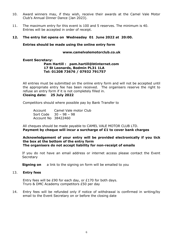- 10. Award winners may, if they wish, receive their awards at the Camel Vale Motor Club's Annual Dinner Dance (Jan 2023).
- 11. The maximum entry for this event is 100 and 5 reserves. The minimum is 40. Entries will be accepted in order of receipt.

#### **12. The entry list opens on Wednesday 01 June 2022 at 20:00.**

**Entries should be made using the online entry form**

**www.camelvalemotorclub.co.uk**

#### **Event Secretary:**

#### **Pam Hartill : [pam.hartill@btinternet.com](mailto:pam.hartill@btinternet.com) 17 St Leonards, Bodmin PL31 1LA Tel: 01208 73676 / 07932 791757**

All entries must be submitted on the online entry form and will not be accepted until the appropriate entry fee has been received. The organisers reserve the right to refuse an entry form if it is not completely filled in. **Closing date: 25 July 2022**

Competitors should where possible pay by Bank Transfer to

Account Camel Vale motor Club Sort Code 30 – 98 – 98 Account No 38422460

All cheques should be made payable to CAMEL VALE MOTOR CLUB LTD. **Payment by cheque will incur a surcharge of £1 to cover bank charges**

**Acknowledgement of your entry will be provided electronically if you tick the box at the bottom of the entry form The organisers do not accept liability for non-receipt of emails** 

If you do not have an email address or internet access please contact the Event **Secretary** 

**Signing on** a link to the signing on form will be emailed to you

#### 13. **Entry fees**

Entry fees will be £90 for each day, or £170 for both days. Truro & DMC Academy competitors £50 per day

14. Entry fees will be refunded only if notice of withdrawal is confirmed in writing/by email to the Event Secretary on or before the closing date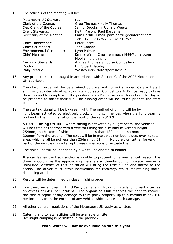15. The officials of the meeting will be:

| Motorsport UK Steward:           | tba                                          |
|----------------------------------|----------------------------------------------|
| Clerk of the Course:             | Greg Thomas / Kelly Thomas                   |
| Dep Clerk of the Course:         | Jenny Brooks / Richard Weeks                 |
| Event Stewards:                  | Keith Mason, Paul Bartleman                  |
| Secretary of the Meeting         | Pam Hartill Email pam.hartill@btinternet.com |
|                                  | Tel: 01208 73676 / 07932 791757              |
| <b>Chief Timekeeper:</b>         | Peter Locke                                  |
| <b>Chief Scrutineer:</b>         | John Cooper                                  |
| <b>Environmental Scrutineer:</b> | Lynn Palmer                                  |
| <b>Chief Marshall:</b>           | Emma Wall Email emmawall888@qmail.com        |
|                                  | Mobile 07970 840777.                         |
| <b>Car Park Stewards</b>         | Andrea Thomas & Louise Combellack            |
| Doctor                           | Dr. Stuart Hateley                           |
| <b>Rally Rescue</b>              | <b>Westcountry Motorsport Rescue</b>         |

- 16. Any protests must be lodged in accordance with Section C of the 2022 Motorsport UK YearBook
- 17. The starting order will be determined by class and numerical order. Cars will start singularly at intervals of approximately 30 secs. Competitors MUST be ready to take their run and to comply with the paddock official's instructions throughout the day or be prepared to forfeit their run. The running order will be issued prior to the start each day
- 18. The starting signal will be by green light. The method of timing will be by light beam activated by electronic clock, timing commences when the light beam is broken by the timing strut on the front of the car (S10.9)

**S10.9 - Timing Struts** – Where timing is activated by a light beam, the vehicles will be fitted at the front with a vertical timing strut, minimum vertical height 254mm, the bottom of which shall be not less than 180mm and no more than 200mm from the ground. The strut will be in matt black on both sides, over its total area, which shall be not less than 254mm by 51mm. No other, or further forward, part of the vehicle may interrupt these dimensions or actuate the timing.

19. The finish line will be identified by a white line and finish banner.

If a car leaves the track and/or is unable to proceed for a mechanical reason, the driver should give the approaching marshals a 'thumbs up' to indicate he/she is uninjured. Absence of this indication will bring the rescue unit and doctor to the scene. The driver must await instructions for recovery, whilst maintaining social distancing at all times

- 20. Results will be determined by class finishing order.
- 21. Event insurance covering Third Party damage whilst on private land currently carries an excess of £450 per incident. The organising Club reserves the right to recover the cost of repair of any damage to third party property up to a maximum of £450 per incident, from the entrant of any vehicle which causes such damage.
- 22. All other general regulations of the Motorsport UK apply as written.
- 23. Catering and toilets facilities will be available on site Overnight camping is permitted in the paddock

#### **Note water will not be available on site this year**